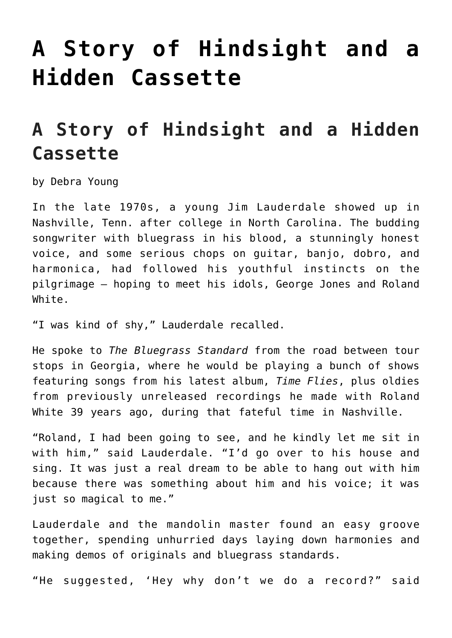## **[A Story of Hindsight and a](https://thebluegrassstandard.com/a-story-of-hindsight-and-a-hidden-cassette/) [Hidden Cassette](https://thebluegrassstandard.com/a-story-of-hindsight-and-a-hidden-cassette/)**

## **A Story of Hindsight and a Hidden Cassette**

by Debra Young

In the late 1970s, a young Jim Lauderdale showed up in Nashville, Tenn. after college in North Carolina. The budding songwriter with bluegrass in his blood, a stunningly honest voice, and some serious chops on guitar, banjo, dobro, and harmonica, had followed his youthful instincts on the pilgrimage — hoping to meet his idols, George Jones and Roland White.

"I was kind of shy," Lauderdale recalled.

He spoke to *The Bluegrass Standard* from the road between tour stops in Georgia, where he would be playing a bunch of shows featuring songs from his latest album, *Time Flies*, plus oldies from previously unreleased recordings he made with Roland White 39 years ago, during that fateful time in Nashville.

"Roland, I had been going to see, and he kindly let me sit in with him," said Lauderdale. "I'd go over to his house and sing. It was just a real dream to be able to hang out with him because there was something about him and his voice; it was just so magical to me."

Lauderdale and the mandolin master found an easy groove together, spending unhurried days laying down harmonies and making demos of originals and bluegrass standards.

"He suggested, 'Hey why don't we do a record?" said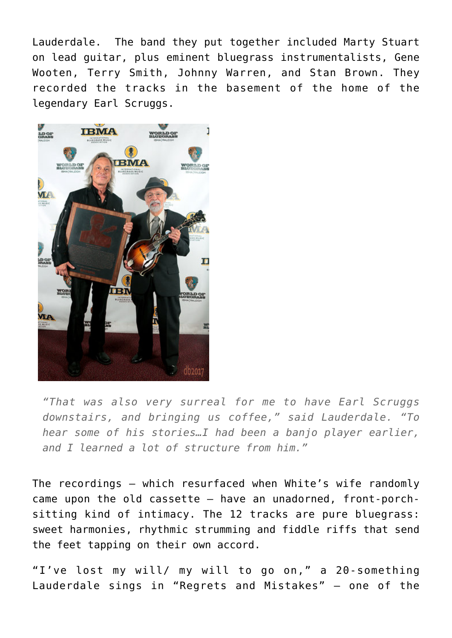Lauderdale. The band they put together included Marty Stuart on lead guitar, plus eminent bluegrass instrumentalists, Gene Wooten, Terry Smith, Johnny Warren, and Stan Brown. They recorded the tracks in the basement of the home of the legendary Earl Scruggs.



*"That was also very surreal for me to have Earl Scruggs downstairs, and bringing us coffee," said Lauderdale. "To hear some of his stories…I had been a banjo player earlier, and I learned a lot of structure from him."*

The recordings – which resurfaced when White's wife randomly came upon the old cassette – have an unadorned, front-porchsitting kind of intimacy. The 12 tracks are pure bluegrass: sweet harmonies, rhythmic strumming and fiddle riffs that send the feet tapping on their own accord.

"I've lost my will/ my will to go on," a 20-something Lauderdale sings in "Regrets and Mistakes" — one of the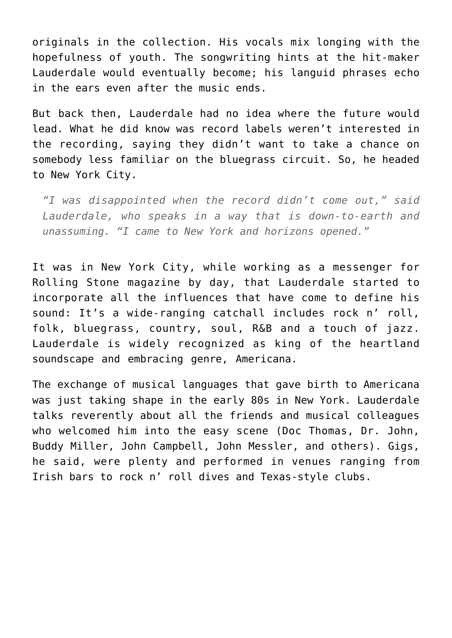originals in the collection. His vocals mix longing with the hopefulness of youth. The songwriting hints at the hit-maker Lauderdale would eventually become; his languid phrases echo in the ears even after the music ends.

But back then, Lauderdale had no idea where the future would lead. What he did know was record labels weren't interested in the recording, saying they didn't want to take a chance on somebody less familiar on the bluegrass circuit. So, he headed to New York City.

*"I was disappointed when the record didn't come out," said Lauderdale, who speaks in a way that is down-to-earth and unassuming. "I came to New York and horizons opened."*

It was in New York City, while working as a messenger for Rolling Stone magazine by day, that Lauderdale started to incorporate all the influences that have come to define his sound: It's a wide-ranging catchall includes rock n' roll, folk, bluegrass, country, soul, R&B and a touch of jazz. Lauderdale is widely recognized as king of the heartland soundscape and embracing genre, Americana.

The exchange of musical languages that gave birth to Americana was just taking shape in the early 80s in New York. Lauderdale talks reverently about all the friends and musical colleagues who welcomed him into the easy scene (Doc Thomas, Dr. John, Buddy Miller, John Campbell, John Messler, and others). Gigs, he said, were plenty and performed in venues ranging from Irish bars to rock n' roll dives and Texas-style clubs.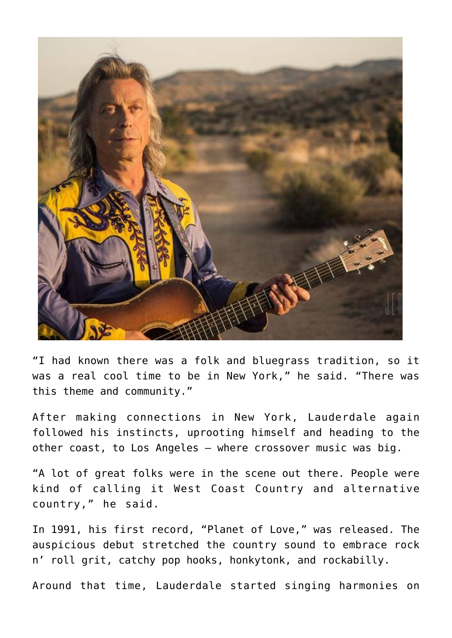

"I had known there was a folk and bluegrass tradition, so it was a real cool time to be in New York," he said. "There was this theme and community."

After making connections in New York, Lauderdale again followed his instincts, uprooting himself and heading to the other coast, to Los Angeles — where crossover music was big.

"A lot of great folks were in the scene out there. People were kind of calling it West Coast Country and alternative country," he said.

In 1991, his first record, "Planet of Love," was released. The auspicious debut stretched the country sound to embrace rock n' roll grit, catchy pop hooks, honkytonk, and rockabilly.

Around that time, Lauderdale started singing harmonies on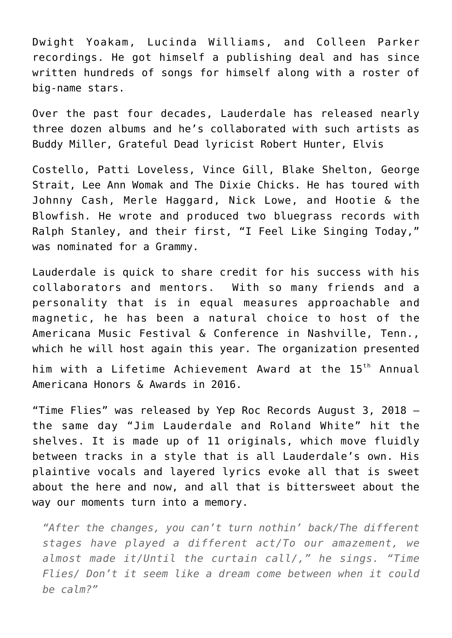Dwight Yoakam, Lucinda Williams, and Colleen Parker recordings. He got himself a publishing deal and has since written hundreds of songs for himself along with a roster of big-name stars.

Over the past four decades, Lauderdale has released nearly three dozen albums and he's collaborated with such artists as Buddy Miller, Grateful Dead lyricist Robert Hunter, Elvis

Costello, Patti Loveless, Vince Gill, Blake Shelton, George Strait, Lee Ann Womak and The Dixie Chicks. He has toured with Johnny Cash, Merle Haggard, Nick Lowe, and Hootie & the Blowfish. He wrote and produced two bluegrass records with Ralph Stanley, and their first, "I Feel Like Singing Today," was nominated for a Grammy.

Lauderdale is quick to share credit for his success with his collaborators and mentors. With so many friends and a personality that is in equal measures approachable and magnetic, he has been a natural choice to host of the Americana Music Festival & Conference in Nashville, Tenn., which he will host again this year. The organization presented him with a Lifetime Achievement Award at the 15<sup>th</sup> Annual Americana Honors & Awards in 2016.

"Time Flies" was released by Yep Roc Records August 3, 2018 – the same day "Jim Lauderdale and Roland White" hit the shelves. It is made up of 11 originals, which move fluidly between tracks in a style that is all Lauderdale's own. His plaintive vocals and layered lyrics evoke all that is sweet about the here and now, and all that is bittersweet about the way our moments turn into a memory.

*"After the changes, you can't turn nothin' back/The different stages have played a different act/To our amazement, we almost made it/Until the curtain call/," he sings. "Time Flies/ Don't it seem like a dream come between when it could be calm?"*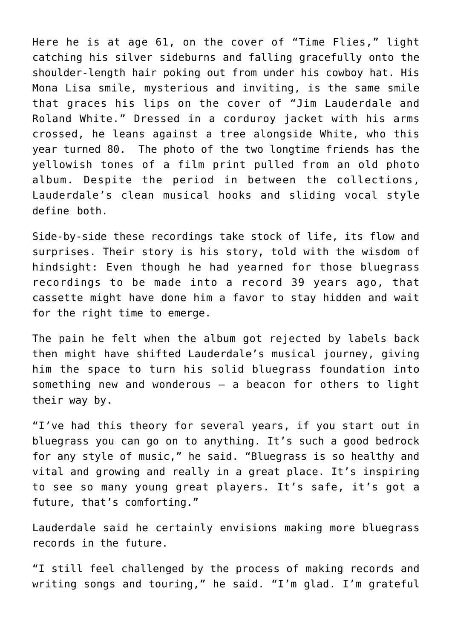Here he is at age 61, on the cover of "Time Flies," light catching his silver sideburns and falling gracefully onto the shoulder-length hair poking out from under his cowboy hat. His Mona Lisa smile, mysterious and inviting, is the same smile that graces his lips on the cover of "Jim Lauderdale and Roland White." Dressed in a corduroy jacket with his arms crossed, he leans against a tree alongside White, who this year turned 80. The photo of the two longtime friends has the yellowish tones of a film print pulled from an old photo album. Despite the period in between the collections, Lauderdale's clean musical hooks and sliding vocal style define both.

Side-by-side these recordings take stock of life, its flow and surprises. Their story is his story, told with the wisdom of hindsight: Even though he had yearned for those bluegrass recordings to be made into a record 39 years ago, that cassette might have done him a favor to stay hidden and wait for the right time to emerge.

The pain he felt when the album got rejected by labels back then might have shifted Lauderdale's musical journey, giving him the space to turn his solid bluegrass foundation into something new and wonderous – a beacon for others to light their way by.

"I've had this theory for several years, if you start out in bluegrass you can go on to anything. It's such a good bedrock for any style of music," he said. "Bluegrass is so healthy and vital and growing and really in a great place. It's inspiring to see so many young great players. It's safe, it's got a future, that's comforting."

Lauderdale said he certainly envisions making more bluegrass records in the future.

"I still feel challenged by the process of making records and writing songs and touring," he said. "I'm glad. I'm grateful